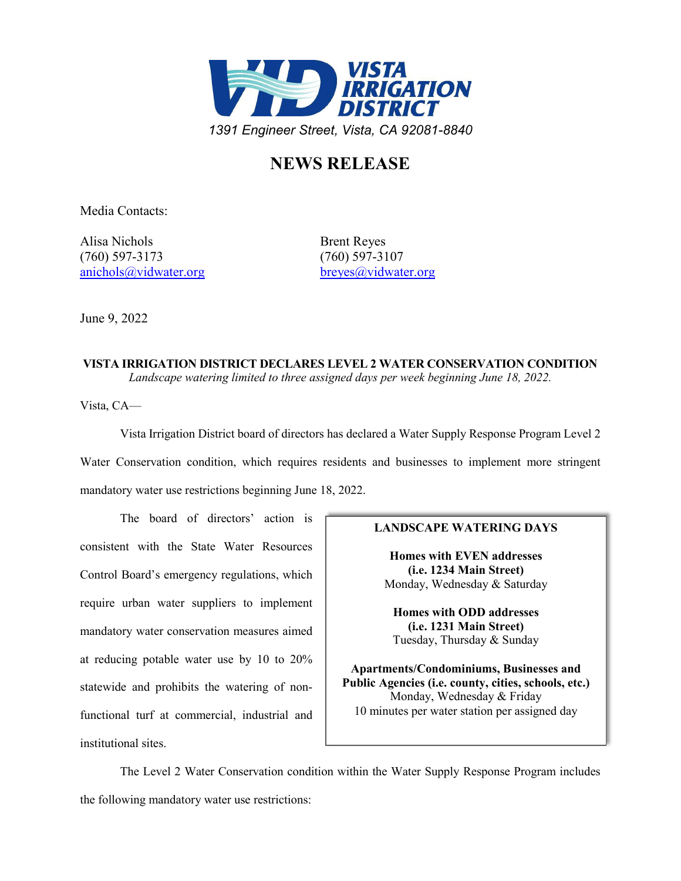

## **NEWS RELEASE**

Media Contacts:

Alisa Nichols Brent Reyes (760) 597-3173 (760) 597-3107 [anichols@vidwater.org](mailto:anichols@vidwater.org) [breyes@vidwater.org](mailto:breyes@vidwater.org)

June 9, 2022

**VISTA IRRIGATION DISTRICT DECLARES LEVEL 2 WATER CONSERVATION CONDITION** *Landscape watering limited to three assigned days per week beginning June 18, 2022.*

Vista, CA—

Vista Irrigation District board of directors has declared a Water Supply Response Program Level 2 Water Conservation condition, which requires residents and businesses to implement more stringent mandatory water use restrictions beginning June 18, 2022.

The board of directors' action is consistent with the State Water Resources Control Board's emergency regulations, which require urban water suppliers to implement mandatory water conservation measures aimed at reducing potable water use by 10 to 20% statewide and prohibits the watering of nonfunctional turf at commercial, industrial and institutional sites.

## **LANDSCAPE WATERING DAYS**

**Homes with EVEN addresses (i.e. 1234 Main Street)** Monday, Wednesday & Saturday

**Homes with ODD addresses (i.e. 1231 Main Street)** Tuesday, Thursday & Sunday

**Apartments/Condominiums, Businesses and Public Agencies (i.e. county, cities, schools, etc.)** Monday, Wednesday & Friday 10 minutes per water station per assigned day

The Level 2 Water Conservation condition within the Water Supply Response Program includes the following mandatory water use restrictions: